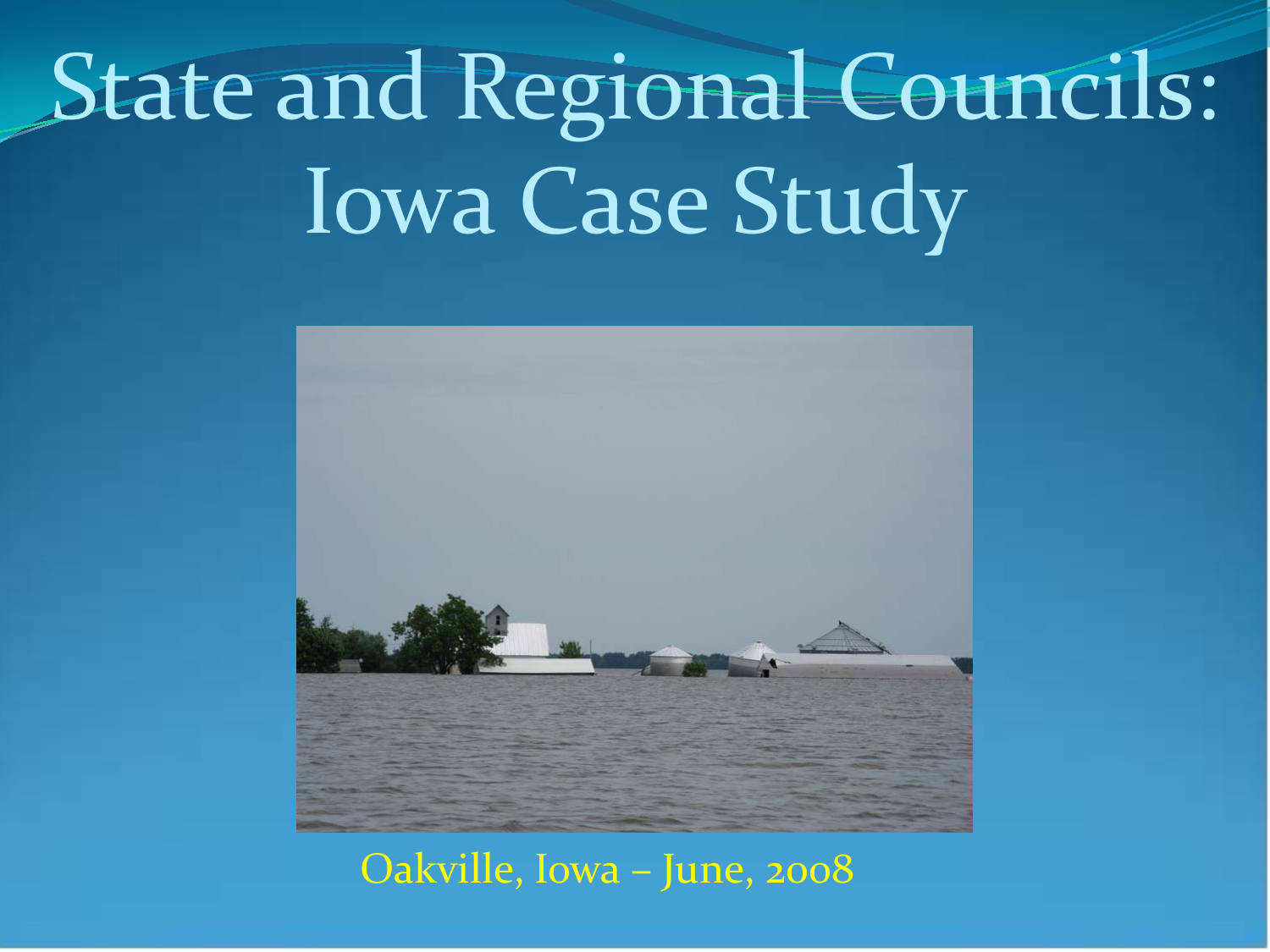# State and Regional Councils: Iowa Case Study



Oakville, Iowa – June, 2008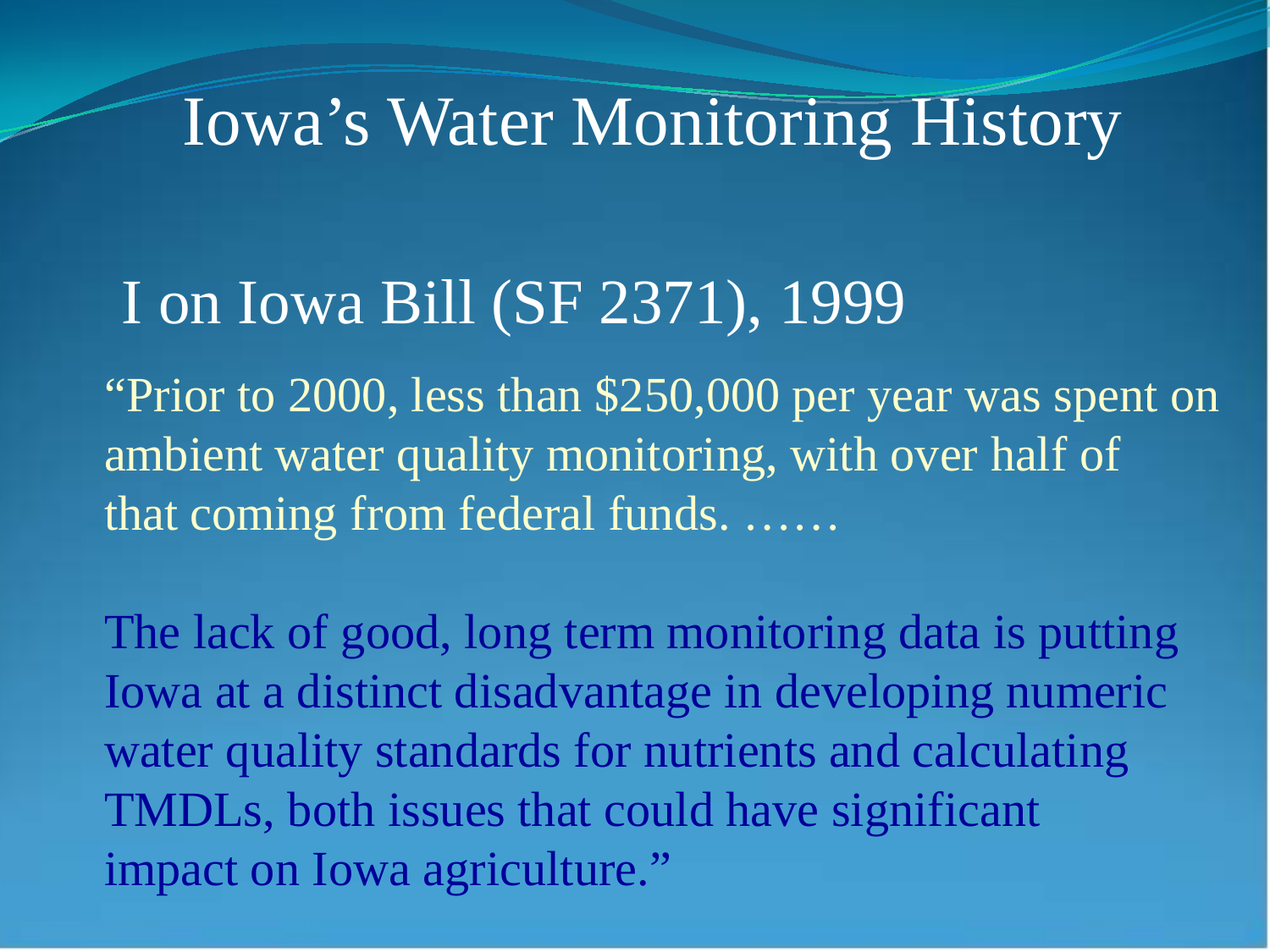#### Iowa's Water Monitoring History

#### I on Iowa Bill (SF 2371), 1999

"Prior to 2000, less than \$250,000 per year was spent on ambient water quality monitoring, with over half of that coming from federal funds. ……

The lack of good, long term monitoring data is putting Iowa at a distinct disadvantage in developing numeric water quality standards for nutrients and calculating TMDLs, both issues that could have significant impact on Iowa agriculture."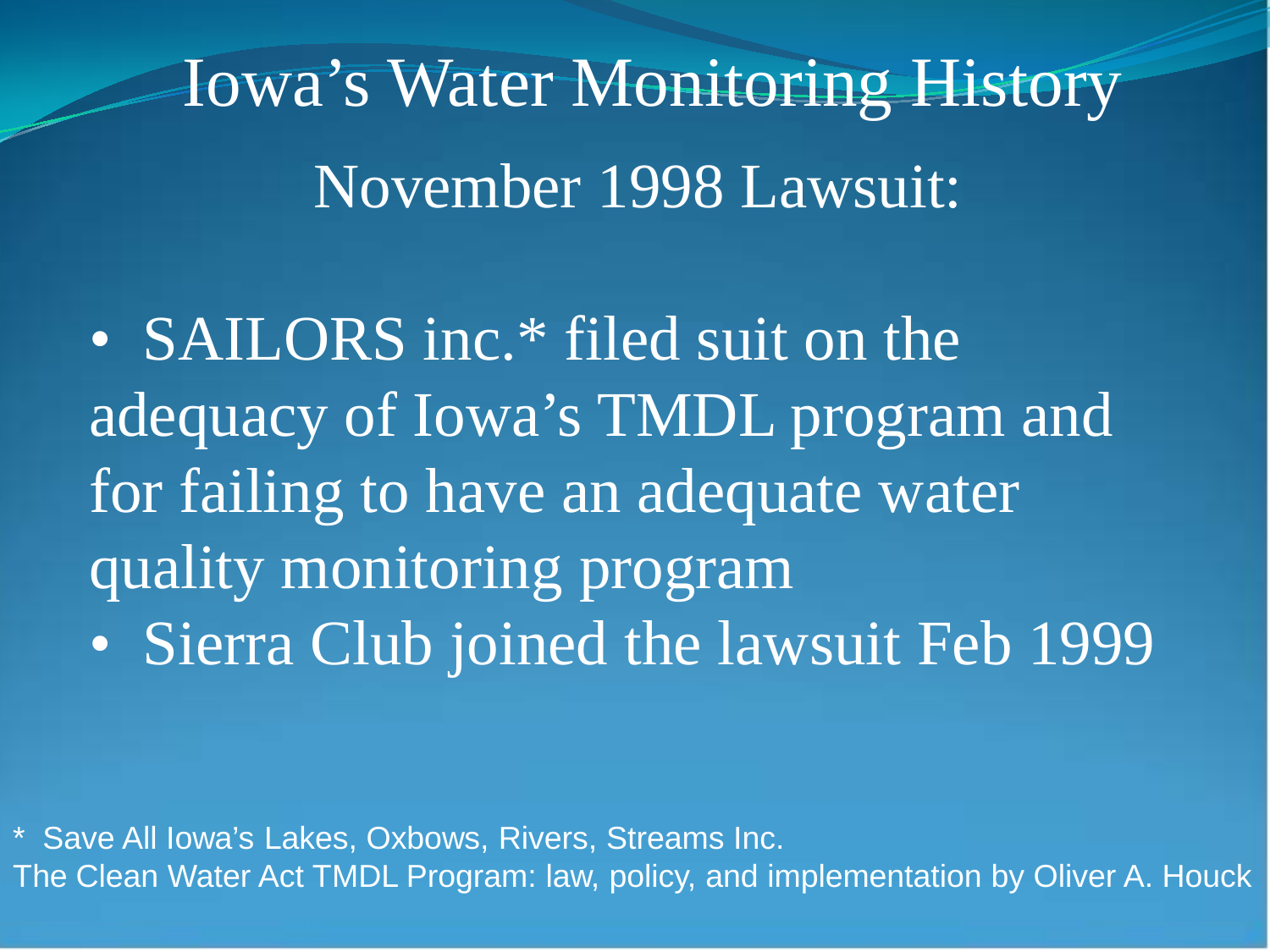November 1998 Lawsuit: Iowa's Water Monitoring History

• SAILORS inc.\* filed suit on the adequacy of Iowa's TMDL program and for failing to have an adequate water quality monitoring program • Sierra Club joined the lawsuit Feb 1999

\* Save All Iowa's Lakes, Oxbows, Rivers, Streams Inc. The Clean Water Act TMDL Program: law, policy, and implementation by Oliver A. Houck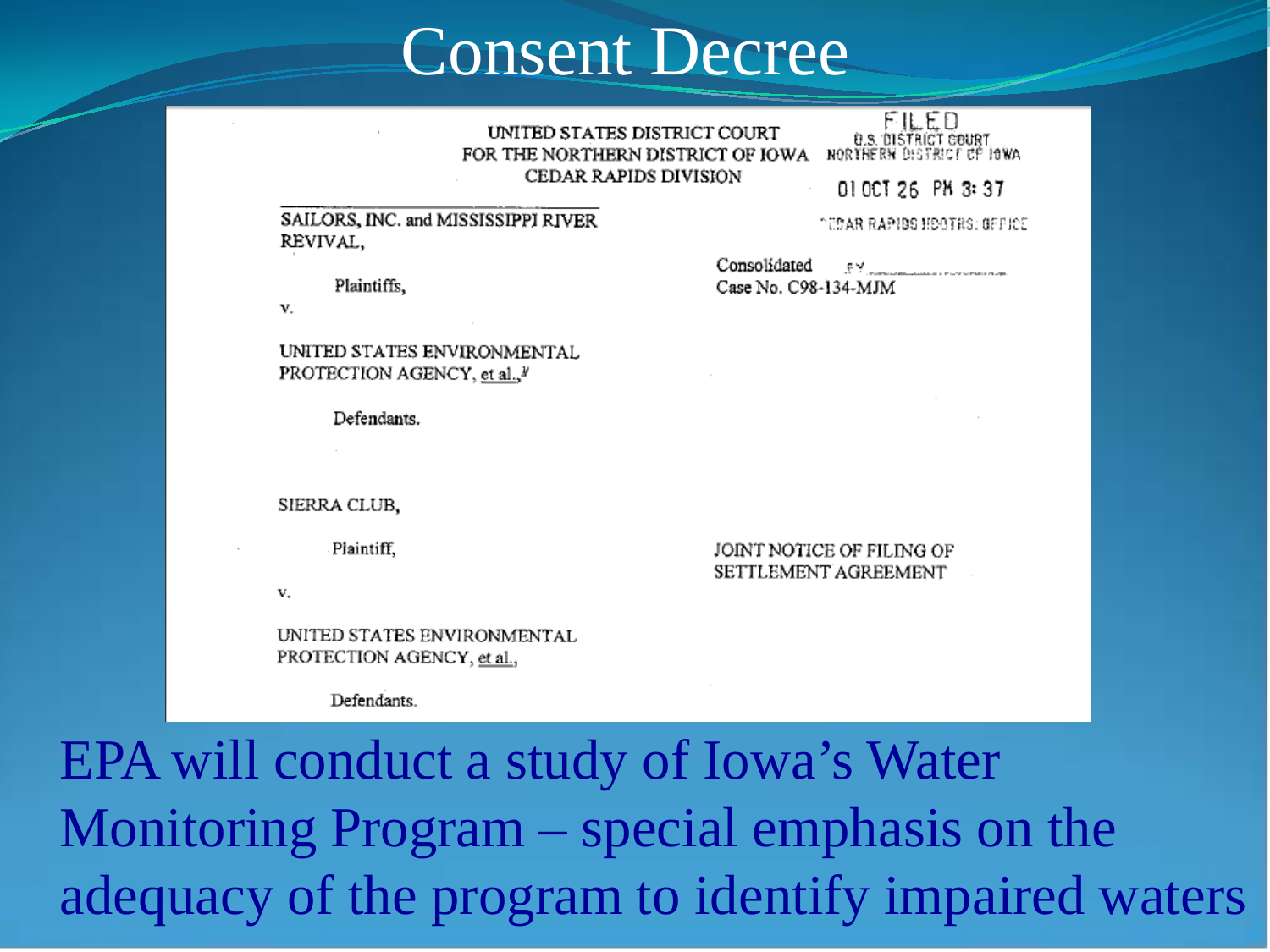#### Consent Decree

FILED UNITED STATES DISTRICT COURT **0.5. DISTRICT COURT**<br>NORTHERN DISTRICT OF JOWA FOR THE NORTHERN DISTRICT OF IOWA **CEDAR RAPIDS DIVISION** 010CT 26 PM 3:37

#### SAILORS, INC. and MISSISSIPPI RIVER REVIVAL,

ገሮያልዊ ዊልጅነፅያ ዘይባኝፀያ: ፀምበድሮ

Plaintiffs,

v.

UNITED STATES ENVIRONMENTAL PROTECTION AGENCY, et al., V

Defendants.

SIERRA CLUB,

Plaintiff.

v.

UNITED STATES ENVIRONMENTAL PROTECTION AGENCY, et al.,

Defendants.

Consolidated 문부 - 그리

Case No. C98-134-MJM

JOINT NOTICE OF FILING OF SETTLEMENT AGREEMENT

EPA will conduct a study of Iowa's Water Monitoring Program – special emphasis on the adequacy of the program to identify impaired waters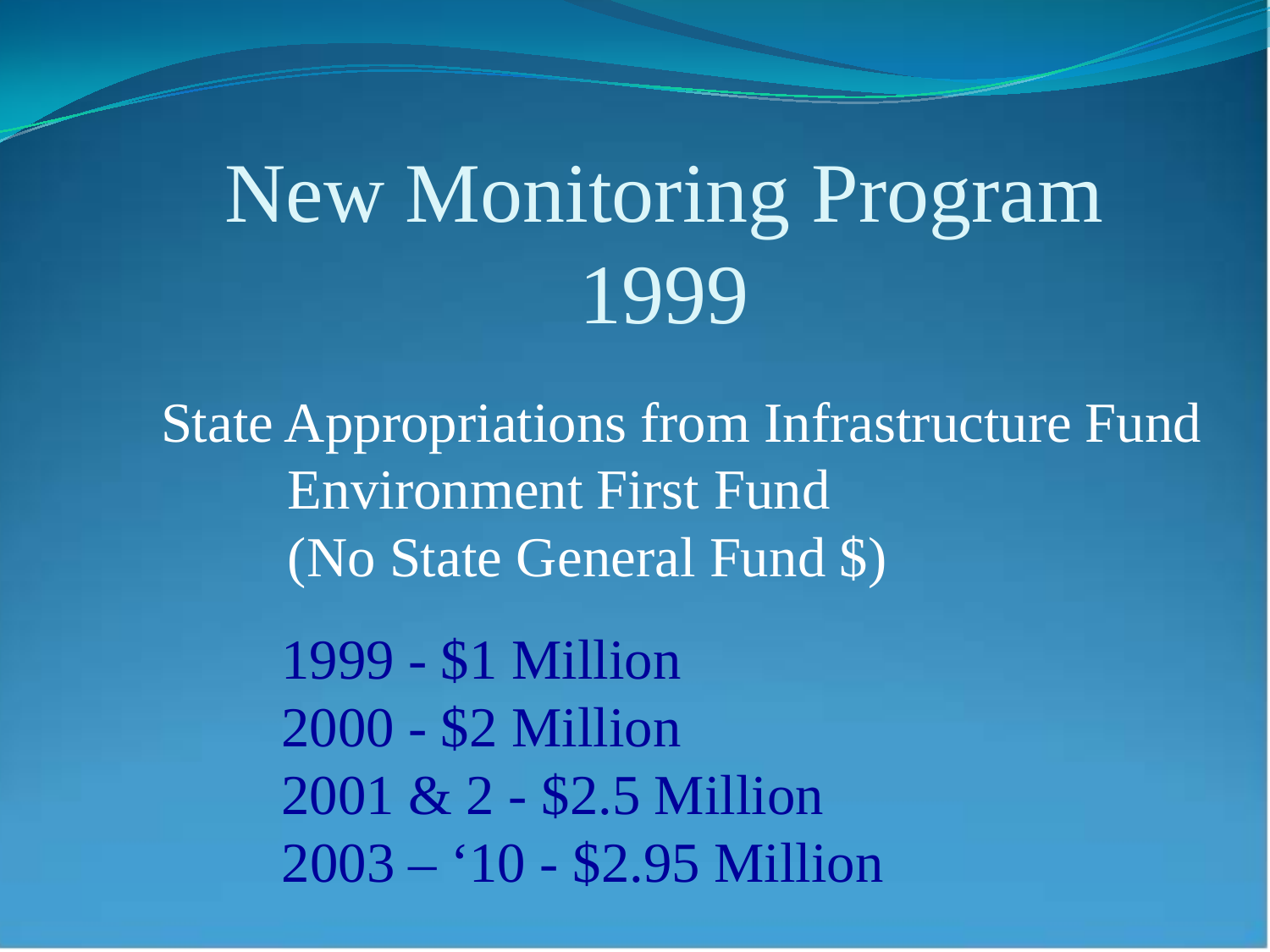## New Monitoring Program 1999

State Appropriations from Infrastructure Fund Environment First Fund (No State General Fund \$)

> 1999 - \$1 Million 2000 - \$2 Million 2001 & 2 - \$2.5 Million 2003 – '10 - \$2.95 Million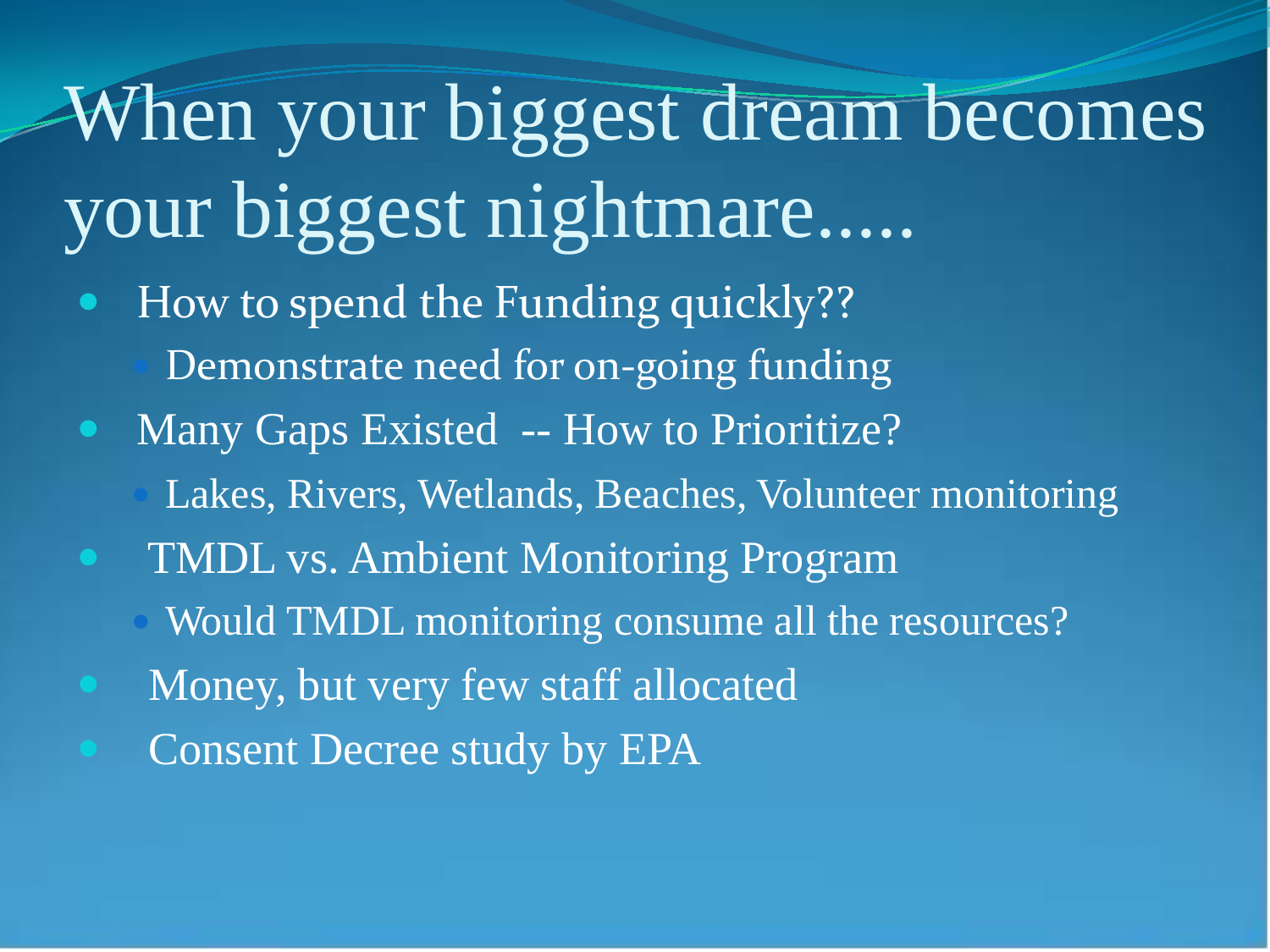When your biggest dream becomes your biggest nightmare..... How to spend the Funding quickly?? Demonstrate need for on-going funding Many Gaps Existed -- How to Prioritize? Lakes, Rivers, Wetlands, Beaches, Volunteer monitoring TMDL vs. Ambient Monitoring Program Would TMDL monitoring consume all the resources? Money, but very few staff allocated Consent Decree study by EPA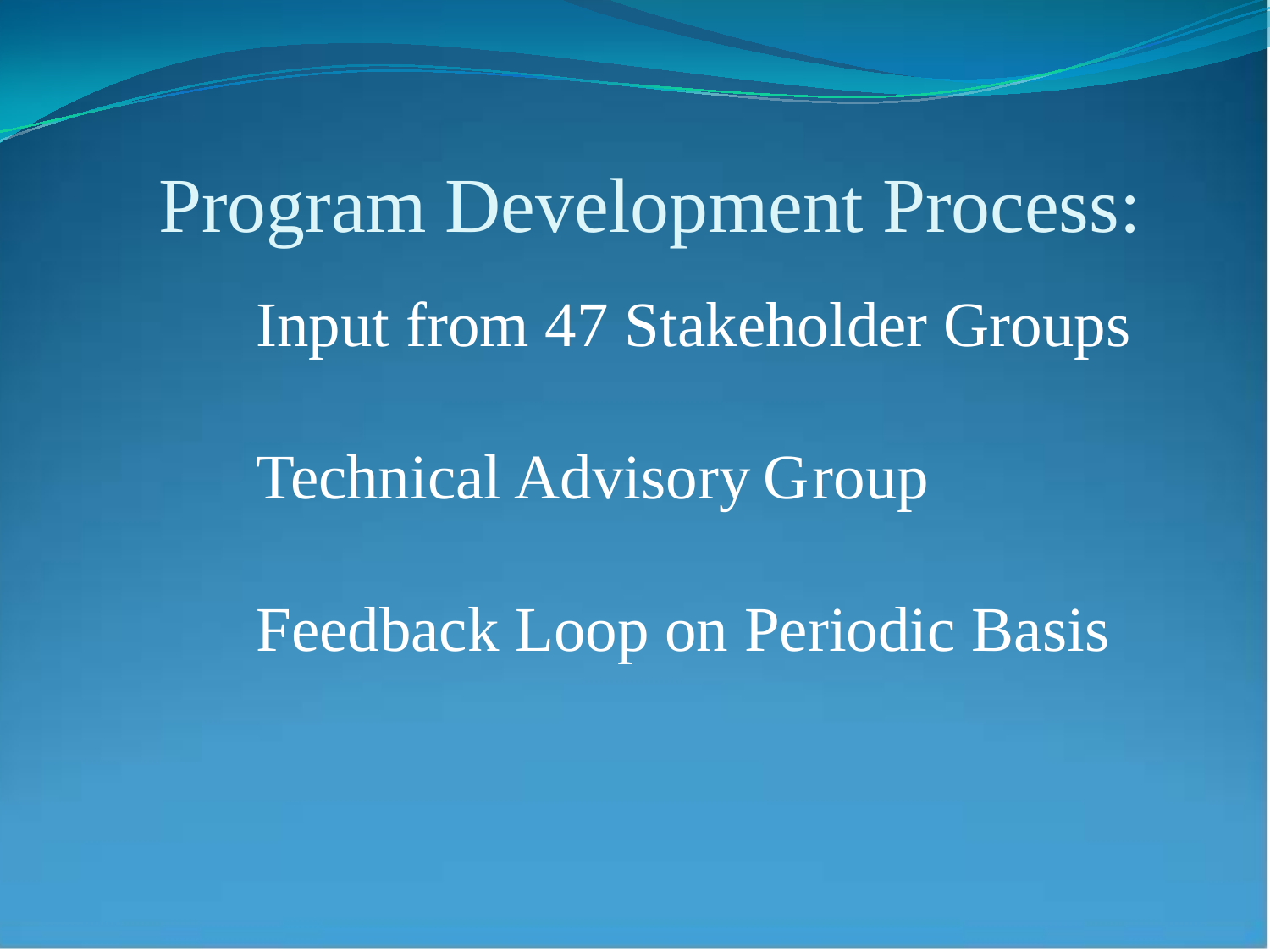Input from 47 Stakeholder Groups Program Development Process:

Technical Advisory Group

Feedback Loop on Periodic Basis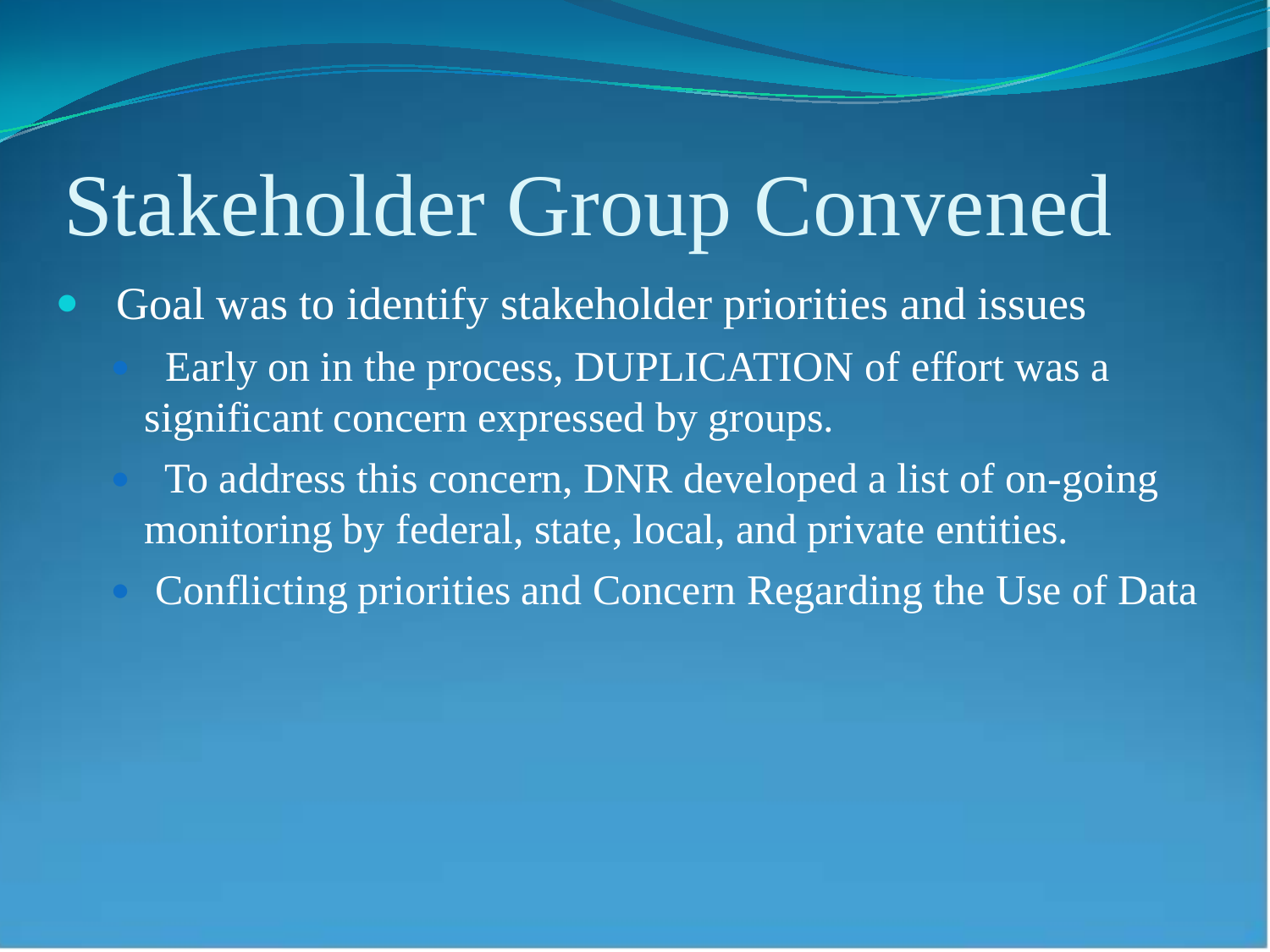## Stakeholder Group Convened

 Goal was to identify stakeholder priorities and issues Early on in the process, DUPLICATION of effort was a significant concern expressed by groups.

 To address this concern, DNR developed a list of on-going monitoring by federal, state, local, and private entities.

Conflicting priorities and Concern Regarding the Use of Data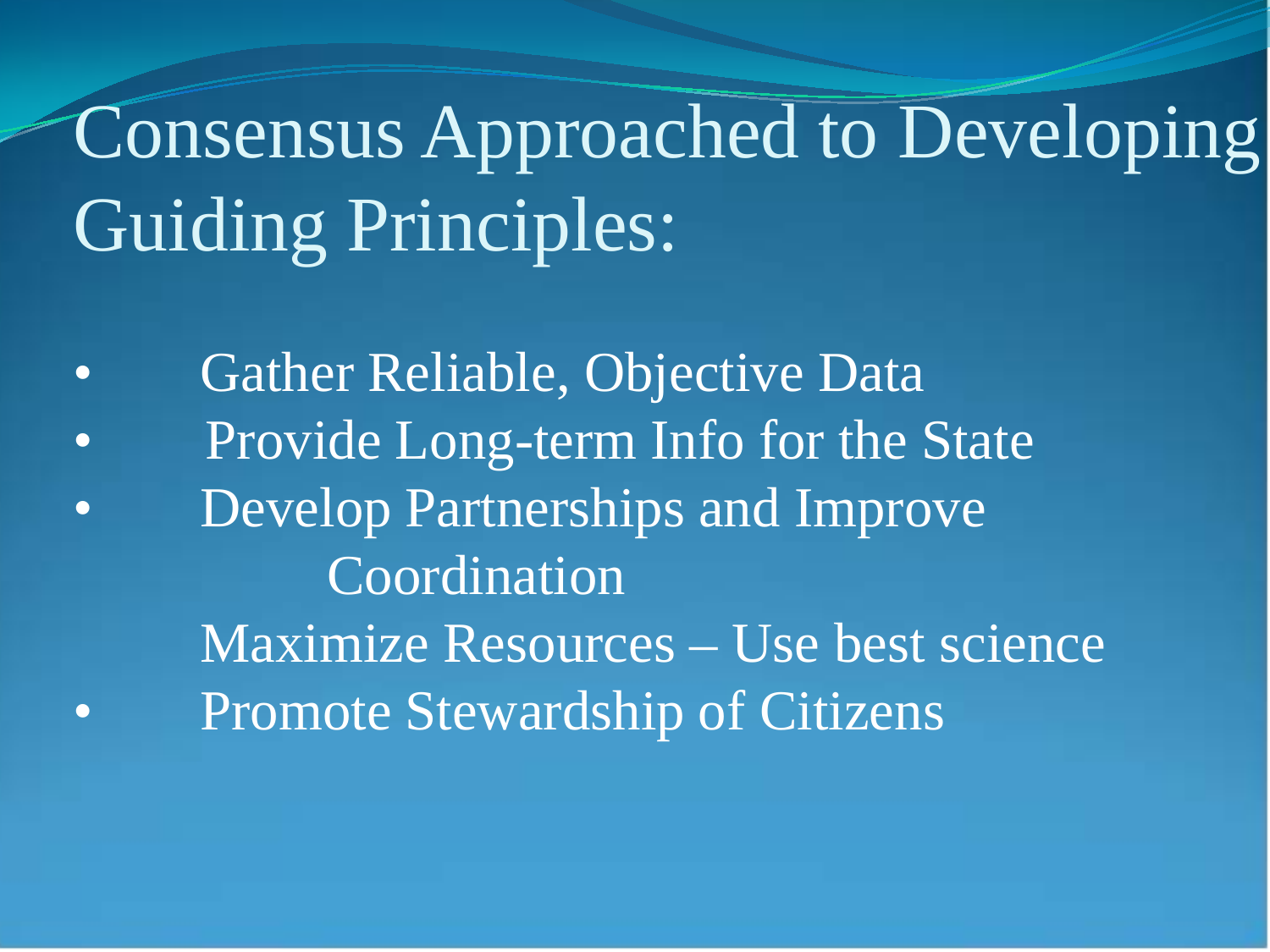## Consensus Approached to Developing Guiding Principles:

• Gather Reliable, Objective Data • Provide Long-term Info for the State • Develop Partnerships and Improve Coordination Maximize Resources – Use best science • Promote Stewardship of Citizens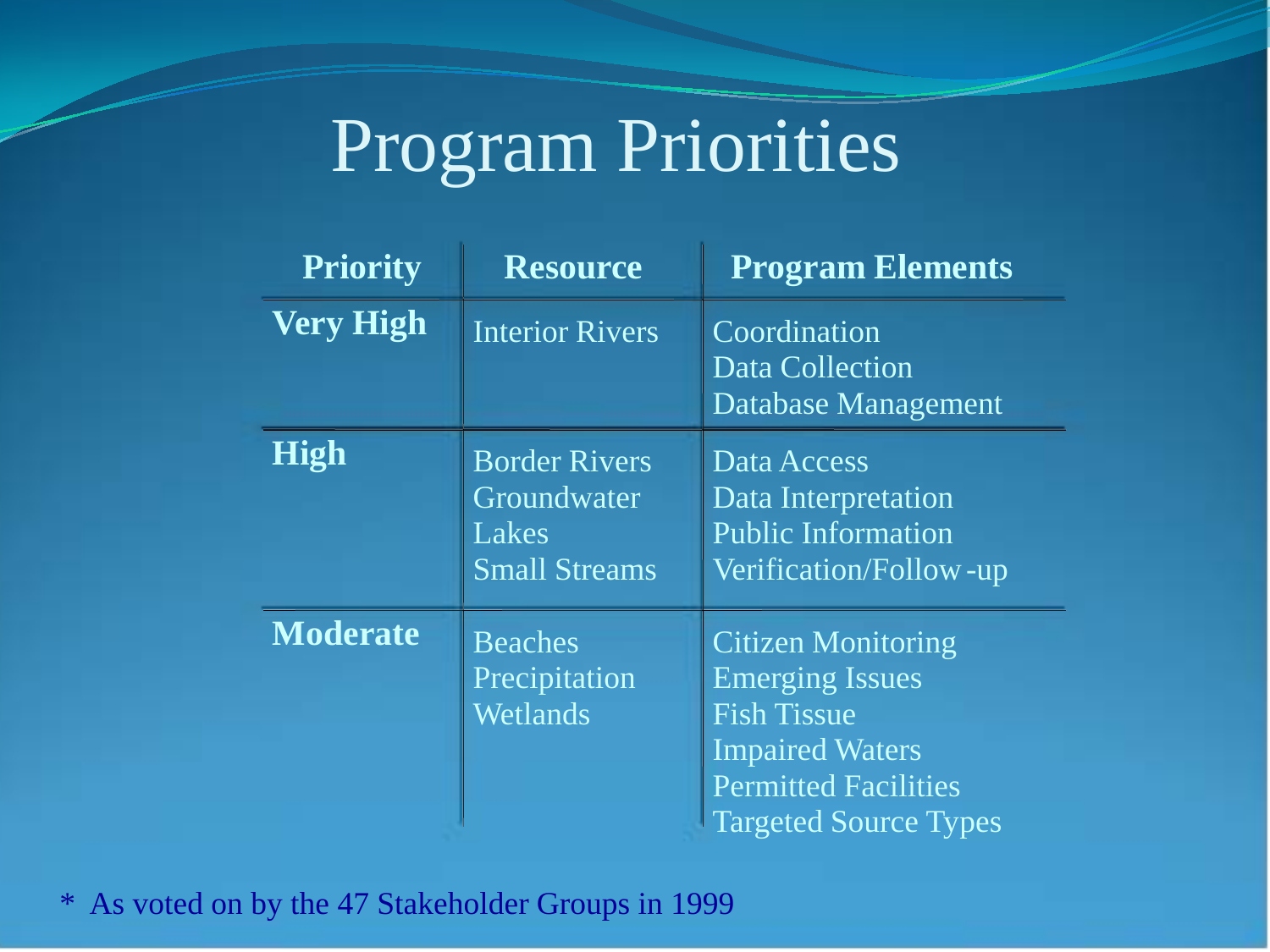#### Program Priorities

| <b>Priority</b>  | <b>Resource</b>                                                      | <b>Program Elements</b>                                                                                                                                            |
|------------------|----------------------------------------------------------------------|--------------------------------------------------------------------------------------------------------------------------------------------------------------------|
| <b>Very High</b> | <b>Interior Rivers</b>                                               | Coordination<br>Data Collection<br>Database Management                                                                                                             |
| <b>High</b>      | <b>Border Rivers</b><br>Groundwater<br>Lakes<br><b>Small Streams</b> | Data Access<br>Data Interpretation<br><b>Public Information</b><br>Verification/Follow-up                                                                          |
| <b>Moderate</b>  | <b>Beaches</b><br>Precipitation<br>Wetlands                          | <b>Citizen Monitoring</b><br><b>Emerging Issues</b><br><b>Fish Tissue</b><br><b>Impaired Waters</b><br><b>Permitted Facilities</b><br><b>Targeted Source Types</b> |

\* As voted on by the 47 Stakeholder Groups in 1999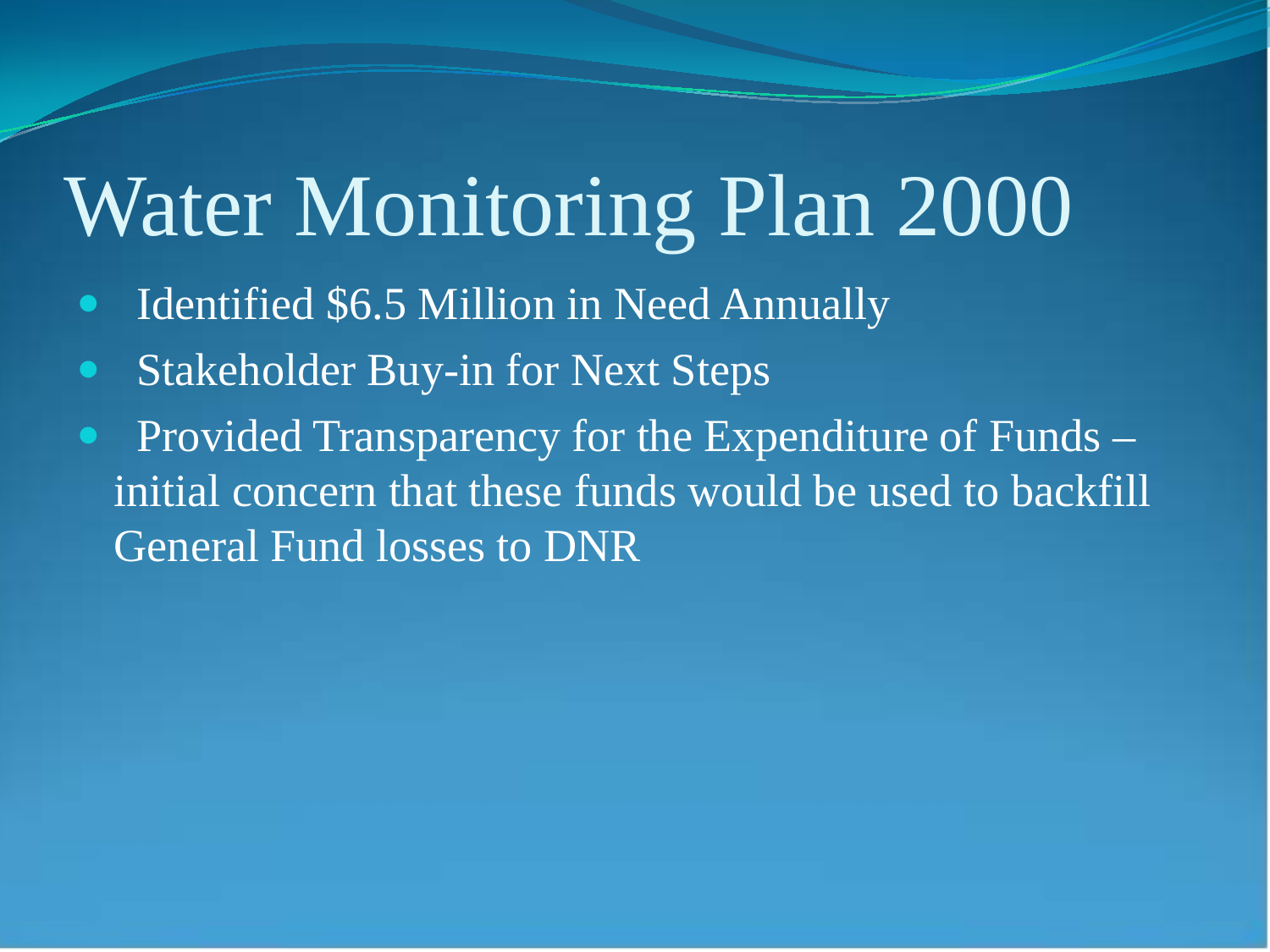## Water Monitoring Plan 2000

- Identified \$6.5 Million in Need Annually
- Stakeholder Buy-in for Next Steps
- Provided Transparency for the Expenditure of Funds initial concern that these funds would be used to backfill General Fund losses to DNR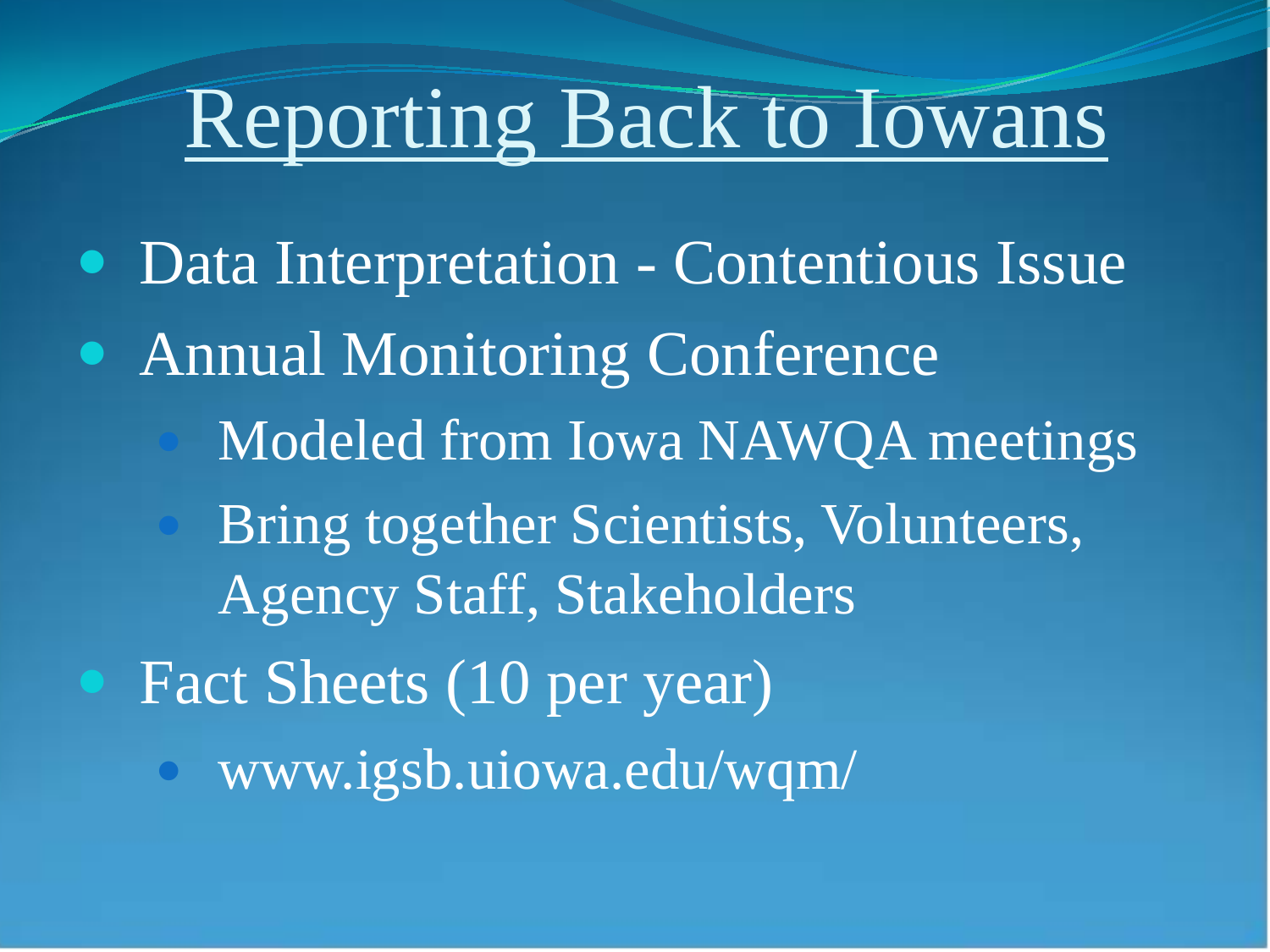## Reporting Back to Iowans

• Data Interpretation - Contentious Issue • Annual Monitoring Conference Modeled from Iowa NAWQA meetings Bring together Scientists, Volunteers, Agency Staff, Stakeholders Fact Sheets (10 per year) www.igsb.uiowa.edu/wqm/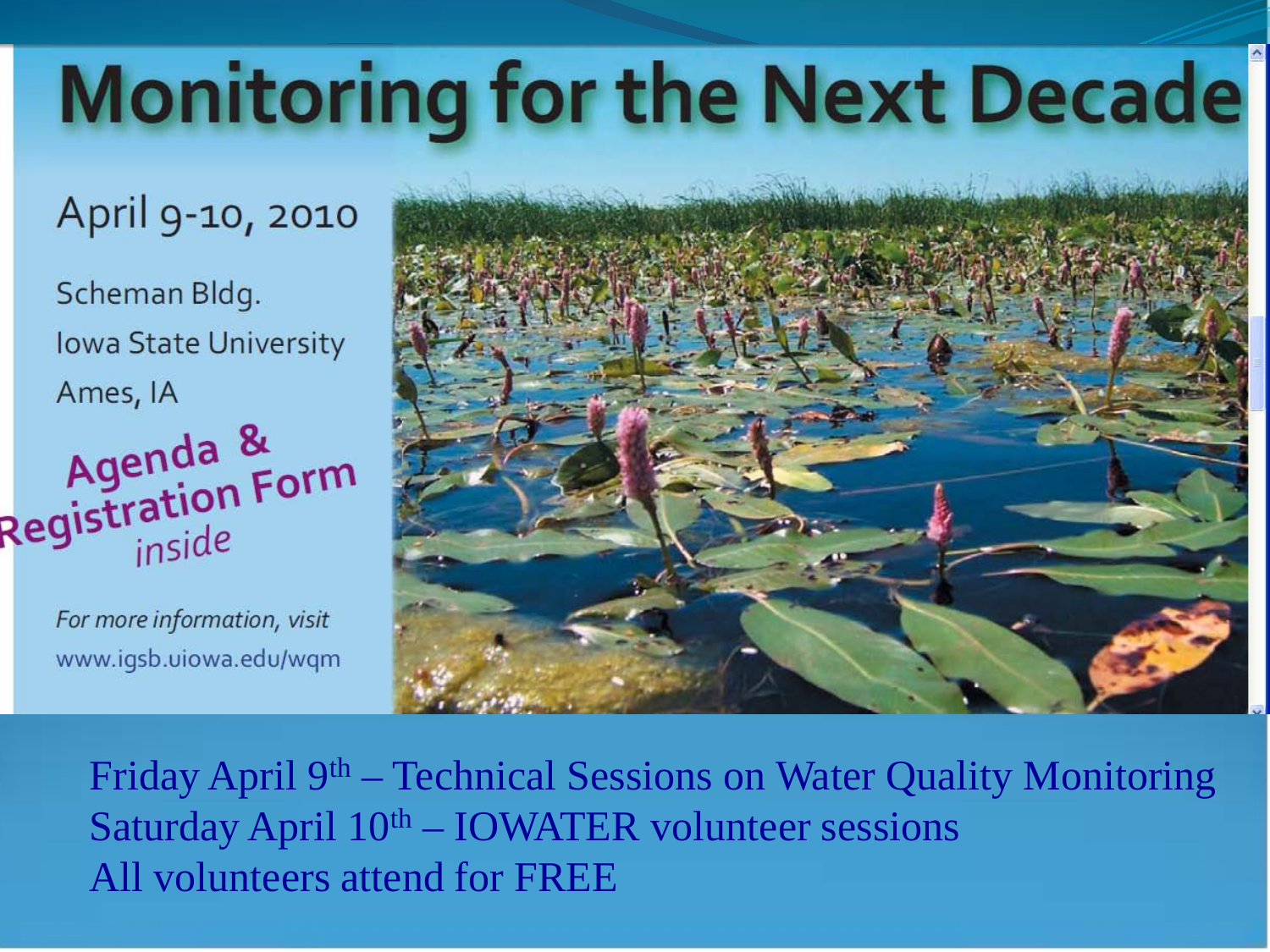# **Monitoring for the Next Decade**

#### April 9-10, 2010

Scheman Bldg. **Iowa State University** Ames, IA Agenda &<br>Registration Form inside

> For more information, visit www.igsb.uiowa.edu/wqm



Friday April 9<sup>th</sup> – Technical Sessions on Water Quality Monitoring Saturday April  $10<sup>th</sup> - IOWATER$  volunteer sessions All volunteers attend for FREE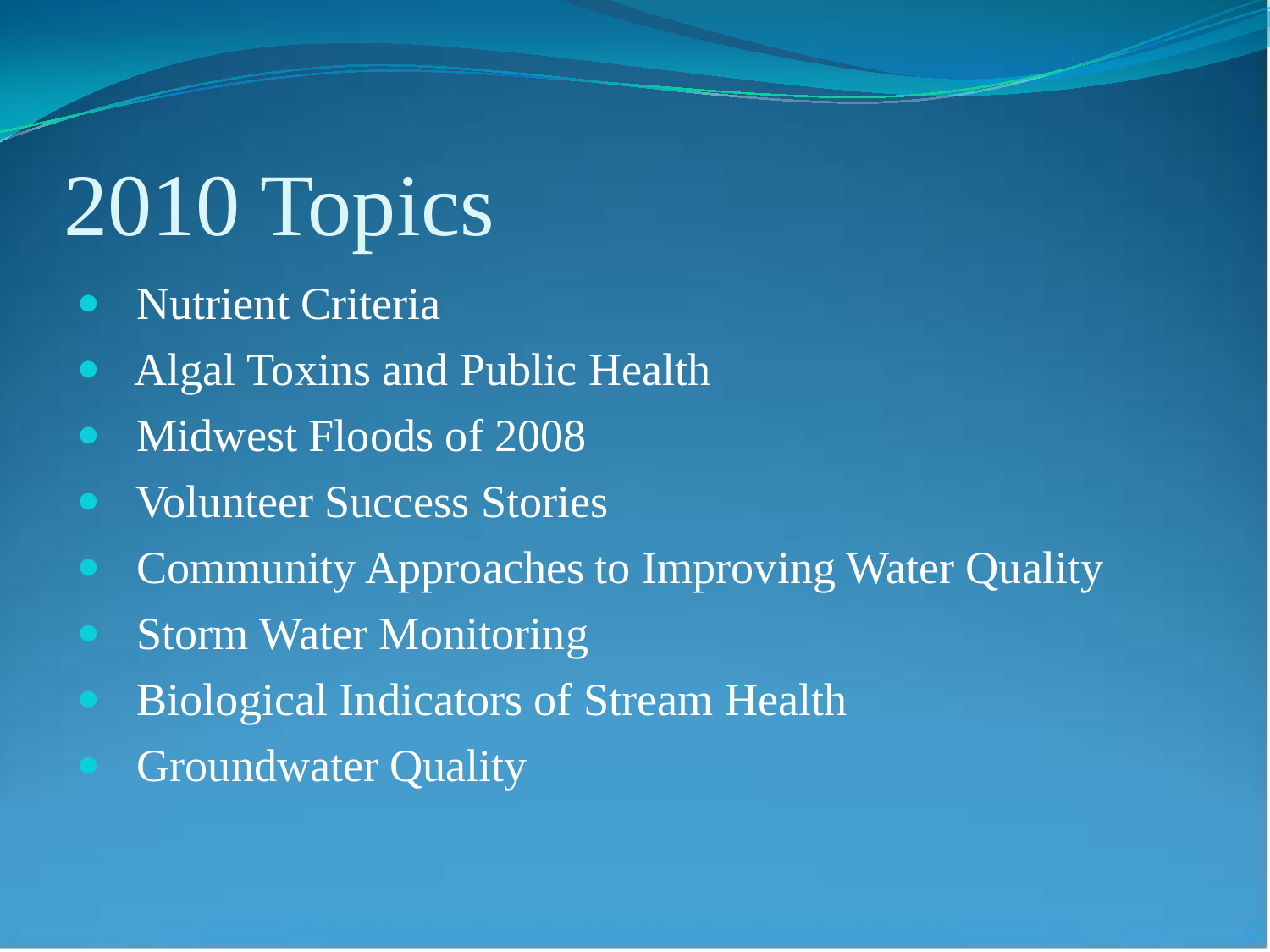# 2010 Topics

- Nutrient Criteria
- Algal Toxins and Public Health
- Midwest Floods of 2008
- Volunteer Success Stories
- Community Approaches to Improving Water Quality
- Storm Water Monitoring
- Biological Indicators of Stream Health
- Groundwater Quality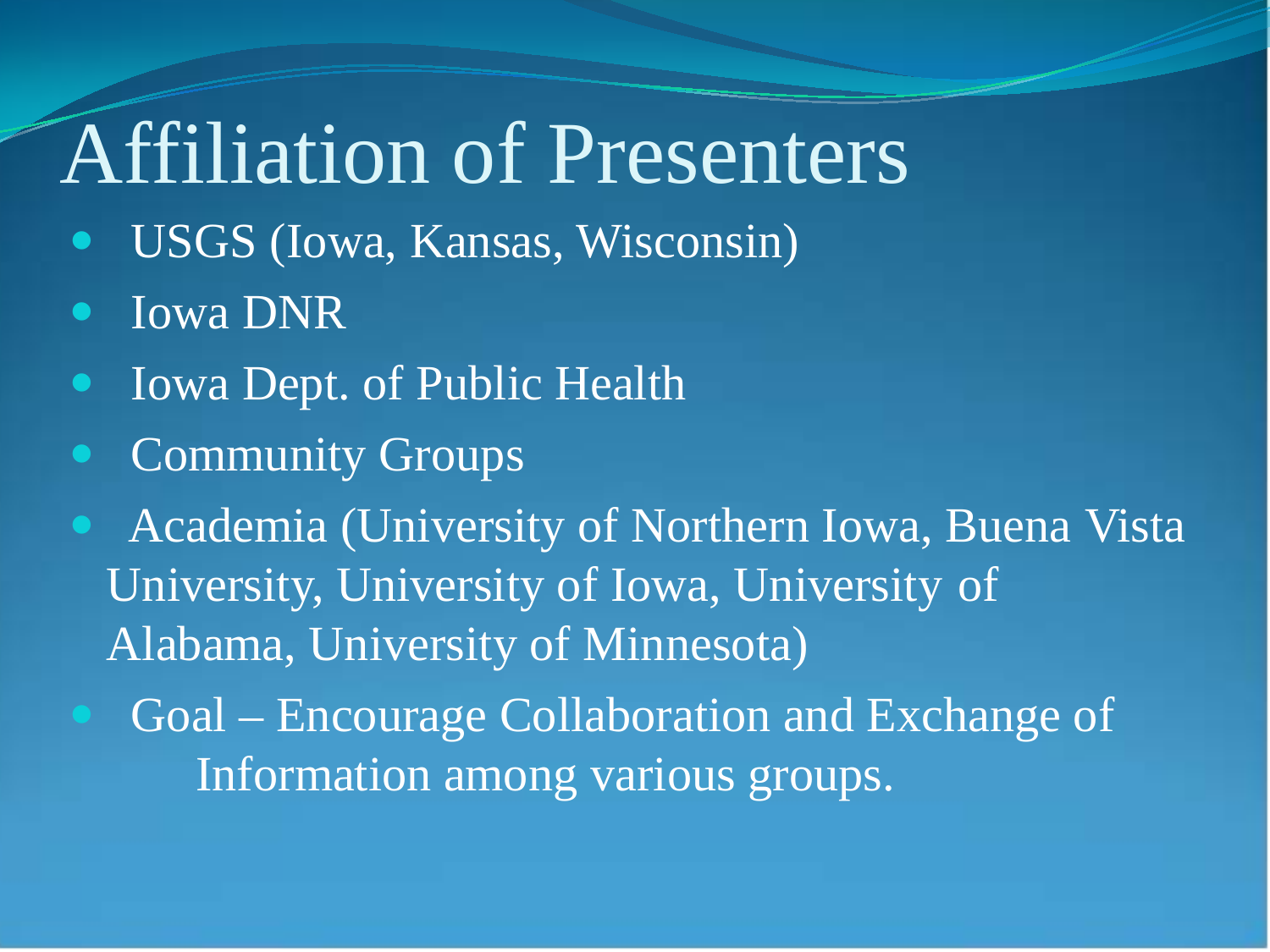### Affiliation of Presenters

- USGS (Iowa, Kansas, Wisconsin)
- Iowa DNR
- Iowa Dept. of Public Health
- **Community Groups**
- Academia (University of Northern Iowa, Buena Vista University, University of Iowa, University of Alabama, University of Minnesota)
- Goal Encourage Collaboration and Exchange of Information among various groups.